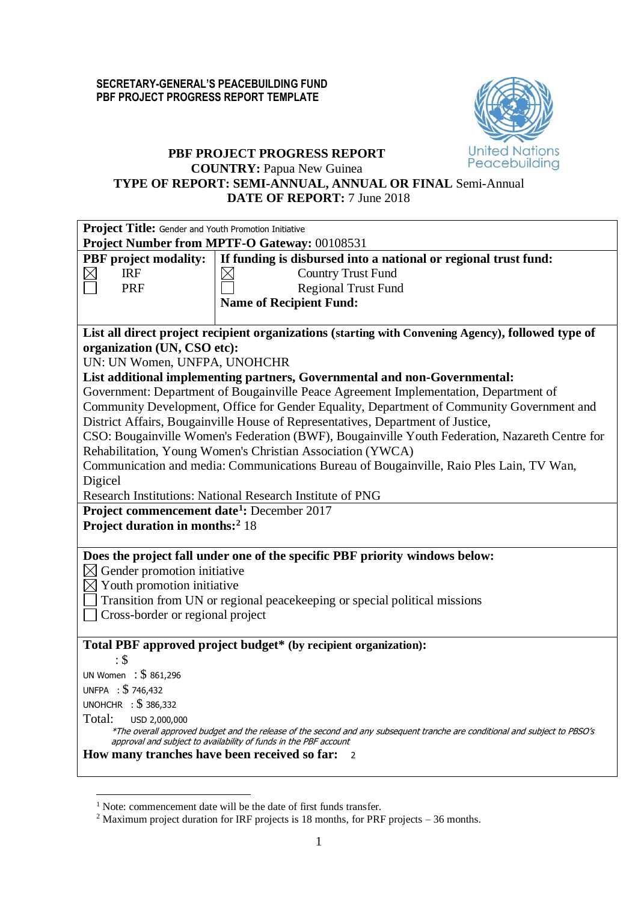

# **PBF PROJECT PROGRESS REPORT**

**COUNTRY:** Papua New Guinea

# **TYPE OF REPORT: SEMI-ANNUAL, ANNUAL OR FINAL** Semi-Annual **DATE OF REPORT:** 7 June 2018

| Project Title: Gender and Youth Promotion Initiative                                                                                                                                            |
|-------------------------------------------------------------------------------------------------------------------------------------------------------------------------------------------------|
| Project Number from MPTF-O Gateway: 00108531                                                                                                                                                    |
| If funding is disbursed into a national or regional trust fund:<br><b>PBF</b> project modality:                                                                                                 |
| <b>Country Trust Fund</b><br><b>IRF</b>                                                                                                                                                         |
| <b>PRF</b><br><b>Regional Trust Fund</b>                                                                                                                                                        |
| <b>Name of Recipient Fund:</b>                                                                                                                                                                  |
|                                                                                                                                                                                                 |
| List all direct project recipient organizations (starting with Convening Agency), followed type of                                                                                              |
| organization (UN, CSO etc):                                                                                                                                                                     |
| UN: UN Women, UNFPA, UNOHCHR                                                                                                                                                                    |
| List additional implementing partners, Governmental and non-Governmental:                                                                                                                       |
| Government: Department of Bougainville Peace Agreement Implementation, Department of                                                                                                            |
| Community Development, Office for Gender Equality, Department of Community Government and                                                                                                       |
| District Affairs, Bougainville House of Representatives, Department of Justice,                                                                                                                 |
| CSO: Bougainville Women's Federation (BWF), Bougainville Youth Federation, Nazareth Centre for                                                                                                  |
| Rehabilitation, Young Women's Christian Association (YWCA)                                                                                                                                      |
| Communication and media: Communications Bureau of Bougainville, Raio Ples Lain, TV Wan,                                                                                                         |
| Digicel                                                                                                                                                                                         |
| Research Institutions: National Research Institute of PNG                                                                                                                                       |
| Project commencement date <sup>1</sup> : December 2017                                                                                                                                          |
| Project duration in months: <sup>2</sup> 18                                                                                                                                                     |
|                                                                                                                                                                                                 |
| Does the project fall under one of the specific PBF priority windows below:                                                                                                                     |
| $\boxtimes$ Gender promotion initiative                                                                                                                                                         |
| $\boxtimes$ Youth promotion initiative                                                                                                                                                          |
| Transition from UN or regional peace keeping or special political missions                                                                                                                      |
| Cross-border or regional project                                                                                                                                                                |
|                                                                                                                                                                                                 |
| Total PBF approved project budget* (by recipient organization):                                                                                                                                 |
| : \$                                                                                                                                                                                            |
| UN Women : \$861,296                                                                                                                                                                            |
| UNFPA : \$746,432                                                                                                                                                                               |
| UNOHCHR : \$386,332                                                                                                                                                                             |
| Total:<br>USD 2,000,000                                                                                                                                                                         |
| *The overall approved budget and the release of the second and any subsequent tranche are conditional and subject to PBSO's<br>approval and subject to availability of funds in the PBF account |
| How many tranches have been received so far:<br>$\overline{2}$                                                                                                                                  |
|                                                                                                                                                                                                 |

1

<sup>&</sup>lt;sup>1</sup> Note: commencement date will be the date of first funds transfer.

<sup>&</sup>lt;sup>2</sup> Maximum project duration for IRF projects is 18 months, for PRF projects – 36 months.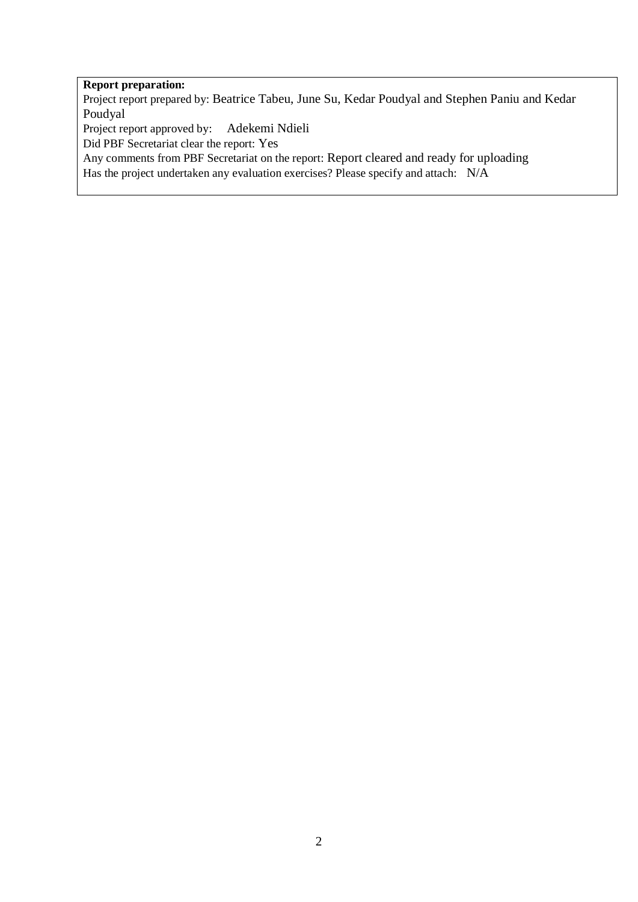## **Report preparation:**

Project report prepared by: Beatrice Tabeu, June Su, Kedar Poudyal and Stephen Paniu and Kedar Poudyal

Project report approved by: Adekemi Ndieli

Did PBF Secretariat clear the report: Yes

Any comments from PBF Secretariat on the report: Report cleared and ready for uploading

Has the project undertaken any evaluation exercises? Please specify and attach: N/A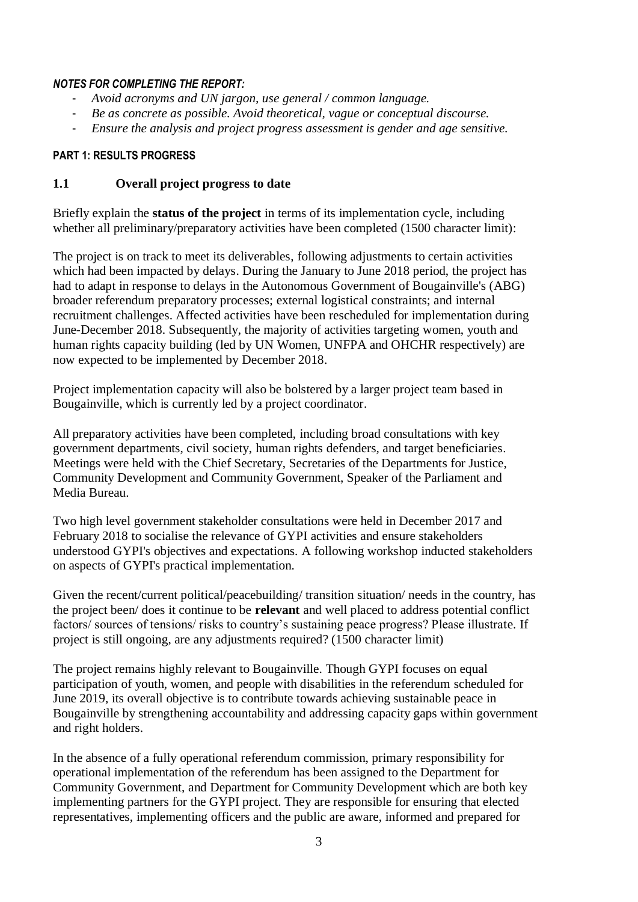#### *NOTES FOR COMPLETING THE REPORT:*

- *Avoid acronyms and UN jargon, use general / common language.*
- *Be as concrete as possible. Avoid theoretical, vague or conceptual discourse.*
- *Ensure the analysis and project progress assessment is gender and age sensitive.*

#### **PART 1: RESULTS PROGRESS**

### **1.1 Overall project progress to date**

Briefly explain the **status of the project** in terms of its implementation cycle, including whether all preliminary/preparatory activities have been completed (1500 character limit):

The project is on track to meet its deliverables, following adjustments to certain activities which had been impacted by delays. During the January to June 2018 period, the project has had to adapt in response to delays in the Autonomous Government of Bougainville's (ABG) broader referendum preparatory processes; external logistical constraints; and internal recruitment challenges. Affected activities have been rescheduled for implementation during June-December 2018. Subsequently, the majority of activities targeting women, youth and human rights capacity building (led by UN Women, UNFPA and OHCHR respectively) are now expected to be implemented by December 2018.

Project implementation capacity will also be bolstered by a larger project team based in Bougainville, which is currently led by a project coordinator.

All preparatory activities have been completed, including broad consultations with key government departments, civil society, human rights defenders, and target beneficiaries. Meetings were held with the Chief Secretary, Secretaries of the Departments for Justice, Community Development and Community Government, Speaker of the Parliament and Media Bureau.

Two high level government stakeholder consultations were held in December 2017 and February 2018 to socialise the relevance of GYPI activities and ensure stakeholders understood GYPI's objectives and expectations. A following workshop inducted stakeholders on aspects of GYPI's practical implementation.

Given the recent/current political/peacebuilding/ transition situation/ needs in the country, has the project been/ does it continue to be **relevant** and well placed to address potential conflict factors/ sources of tensions/ risks to country's sustaining peace progress? Please illustrate. If project is still ongoing, are any adjustments required? (1500 character limit)

The project remains highly relevant to Bougainville. Though GYPI focuses on equal participation of youth, women, and people with disabilities in the referendum scheduled for June 2019, its overall objective is to contribute towards achieving sustainable peace in Bougainville by strengthening accountability and addressing capacity gaps within government and right holders.

In the absence of a fully operational referendum commission, primary responsibility for operational implementation of the referendum has been assigned to the Department for Community Government, and Department for Community Development which are both key implementing partners for the GYPI project. They are responsible for ensuring that elected representatives, implementing officers and the public are aware, informed and prepared for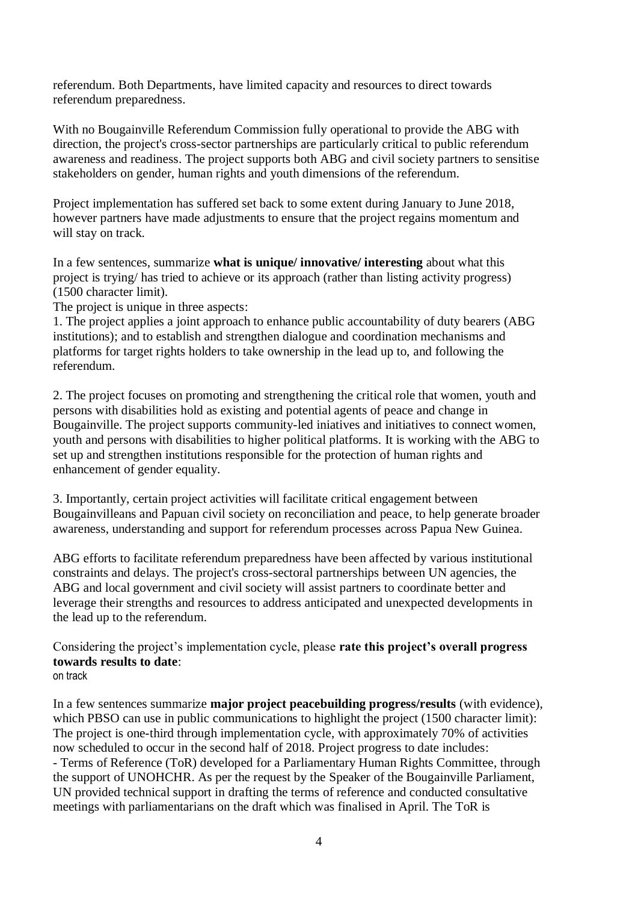referendum. Both Departments, have limited capacity and resources to direct towards referendum preparedness.

With no Bougainville Referendum Commission fully operational to provide the ABG with direction, the project's cross-sector partnerships are particularly critical to public referendum awareness and readiness. The project supports both ABG and civil society partners to sensitise stakeholders on gender, human rights and youth dimensions of the referendum.

Project implementation has suffered set back to some extent during January to June 2018, however partners have made adjustments to ensure that the project regains momentum and will stay on track.

In a few sentences, summarize **what is unique/ innovative/ interesting** about what this project is trying/ has tried to achieve or its approach (rather than listing activity progress) (1500 character limit).

The project is unique in three aspects:

1. The project applies a joint approach to enhance public accountability of duty bearers (ABG institutions); and to establish and strengthen dialogue and coordination mechanisms and platforms for target rights holders to take ownership in the lead up to, and following the referendum.

2. The project focuses on promoting and strengthening the critical role that women, youth and persons with disabilities hold as existing and potential agents of peace and change in Bougainville. The project supports community-led iniatives and initiatives to connect women, youth and persons with disabilities to higher political platforms. It is working with the ABG to set up and strengthen institutions responsible for the protection of human rights and enhancement of gender equality.

3. Importantly, certain project activities will facilitate critical engagement between Bougainvilleans and Papuan civil society on reconciliation and peace, to help generate broader awareness, understanding and support for referendum processes across Papua New Guinea.

ABG efforts to facilitate referendum preparedness have been affected by various institutional constraints and delays. The project's cross-sectoral partnerships between UN agencies, the ABG and local government and civil society will assist partners to coordinate better and leverage their strengths and resources to address anticipated and unexpected developments in the lead up to the referendum.

Considering the project's implementation cycle, please **rate this project's overall progress towards results to date**: on track

In a few sentences summarize **major project peacebuilding progress/results** (with evidence), which PBSO can use in public communications to highlight the project (1500 character limit): The project is one-third through implementation cycle, with approximately 70% of activities now scheduled to occur in the second half of 2018. Project progress to date includes: - Terms of Reference (ToR) developed for a Parliamentary Human Rights Committee, through the support of UNOHCHR. As per the request by the Speaker of the Bougainville Parliament, UN provided technical support in drafting the terms of reference and conducted consultative meetings with parliamentarians on the draft which was finalised in April. The ToR is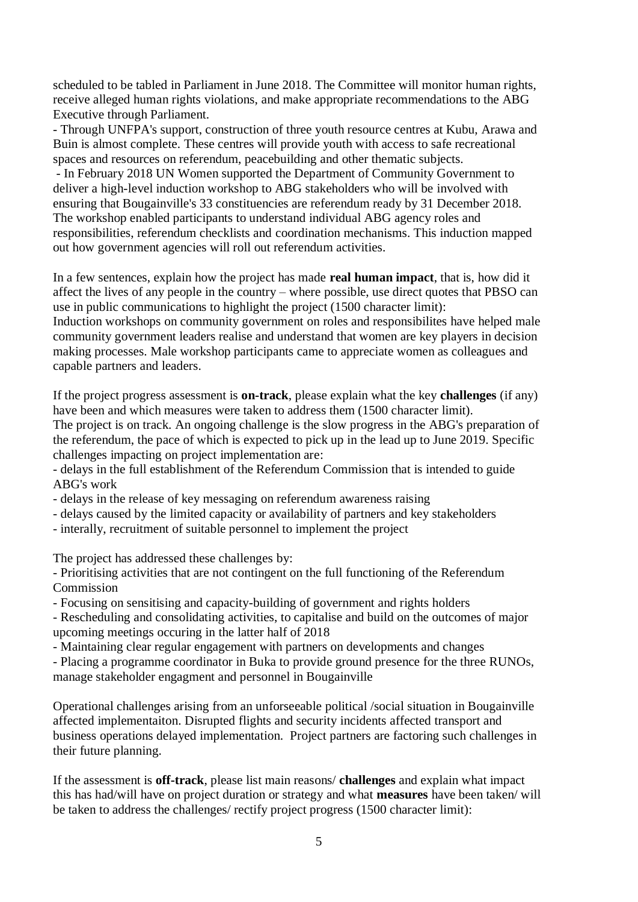scheduled to be tabled in Parliament in June 2018. The Committee will monitor human rights, receive alleged human rights violations, and make appropriate recommendations to the ABG Executive through Parliament.

- Through UNFPA's support, construction of three youth resource centres at Kubu, Arawa and Buin is almost complete. These centres will provide youth with access to safe recreational spaces and resources on referendum, peacebuilding and other thematic subjects.

- In February 2018 UN Women supported the Department of Community Government to deliver a high-level induction workshop to ABG stakeholders who will be involved with ensuring that Bougainville's 33 constituencies are referendum ready by 31 December 2018. The workshop enabled participants to understand individual ABG agency roles and responsibilities, referendum checklists and coordination mechanisms. This induction mapped out how government agencies will roll out referendum activities.

In a few sentences, explain how the project has made **real human impact**, that is, how did it affect the lives of any people in the country – where possible, use direct quotes that PBSO can use in public communications to highlight the project (1500 character limit):

Induction workshops on community government on roles and responsibilites have helped male community government leaders realise and understand that women are key players in decision making processes. Male workshop participants came to appreciate women as colleagues and capable partners and leaders.

If the project progress assessment is **on-track**, please explain what the key **challenges** (if any) have been and which measures were taken to address them (1500 character limit).

The project is on track. An ongoing challenge is the slow progress in the ABG's preparation of the referendum, the pace of which is expected to pick up in the lead up to June 2019. Specific challenges impacting on project implementation are:

- delays in the full establishment of the Referendum Commission that is intended to guide ABG's work

- delays in the release of key messaging on referendum awareness raising

- delays caused by the limited capacity or availability of partners and key stakeholders

- interally, recruitment of suitable personnel to implement the project

The project has addressed these challenges by:

- Prioritising activities that are not contingent on the full functioning of the Referendum Commission

- Focusing on sensitising and capacity-building of government and rights holders

- Rescheduling and consolidating activities, to capitalise and build on the outcomes of major upcoming meetings occuring in the latter half of 2018

- Maintaining clear regular engagement with partners on developments and changes

- Placing a programme coordinator in Buka to provide ground presence for the three RUNOs, manage stakeholder engagment and personnel in Bougainville

Operational challenges arising from an unforseeable political /social situation in Bougainville affected implementaiton. Disrupted flights and security incidents affected transport and business operations delayed implementation. Project partners are factoring such challenges in their future planning.

If the assessment is **off-track**, please list main reasons/ **challenges** and explain what impact this has had/will have on project duration or strategy and what **measures** have been taken/ will be taken to address the challenges/ rectify project progress (1500 character limit):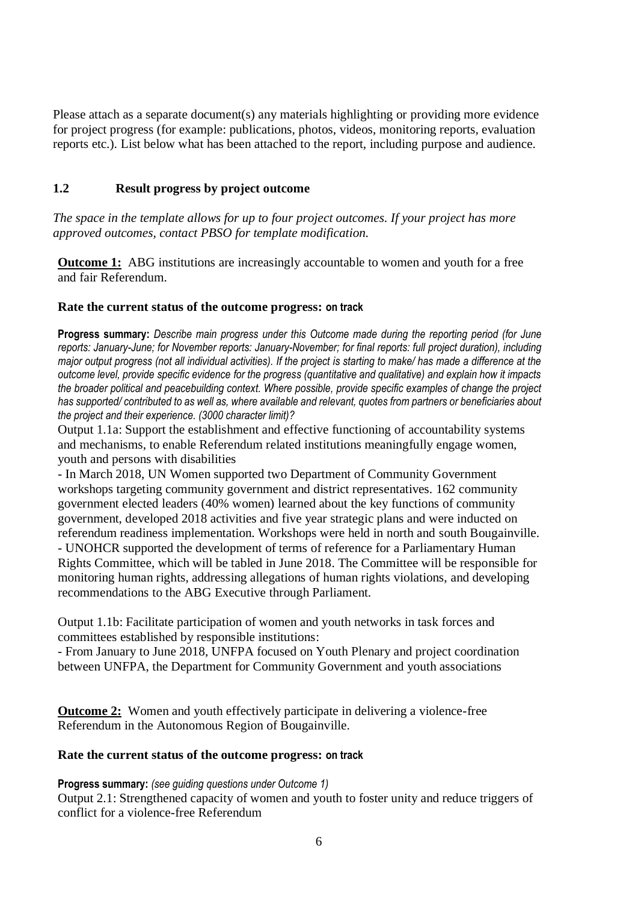Please attach as a separate document(s) any materials highlighting or providing more evidence for project progress (for example: publications, photos, videos, monitoring reports, evaluation reports etc.). List below what has been attached to the report, including purpose and audience.

## **1.2 Result progress by project outcome**

*The space in the template allows for up to four project outcomes. If your project has more approved outcomes, contact PBSO for template modification.*

**Outcome 1:** ABG institutions are increasingly accountable to women and youth for a free and fair Referendum.

## **Rate the current status of the outcome progress: on track**

**Progress summary:** *Describe main progress under this Outcome made during the reporting period (for June reports: January-June; for November reports: January-November; for final reports: full project duration), including major output progress (not all individual activities). If the project is starting to make/ has made a difference at the outcome level, provide specific evidence for the progress (quantitative and qualitative) and explain how it impacts the broader political and peacebuilding context. Where possible, provide specific examples of change the project has supported/ contributed to as well as, where available and relevant, quotes from partners or beneficiaries about the project and their experience. (3000 character limit)?* 

Output 1.1a: Support the establishment and effective functioning of accountability systems and mechanisms, to enable Referendum related institutions meaningfully engage women, youth and persons with disabilities

- In March 2018, UN Women supported two Department of Community Government workshops targeting community government and district representatives. 162 community government elected leaders (40% women) learned about the key functions of community government, developed 2018 activities and five year strategic plans and were inducted on referendum readiness implementation. Workshops were held in north and south Bougainville.

- UNOHCR supported the development of terms of reference for a Parliamentary Human Rights Committee, which will be tabled in June 2018. The Committee will be responsible for monitoring human rights, addressing allegations of human rights violations, and developing recommendations to the ABG Executive through Parliament.

Output 1.1b: Facilitate participation of women and youth networks in task forces and committees established by responsible institutions:

- From January to June 2018, UNFPA focused on Youth Plenary and project coordination between UNFPA, the Department for Community Government and youth associations

**Outcome 2:** Women and youth effectively participate in delivering a violence-free Referendum in the Autonomous Region of Bougainville.

## **Rate the current status of the outcome progress: on track**

## **Progress summary:** *(see guiding questions under Outcome 1)*

Output 2.1: Strengthened capacity of women and youth to foster unity and reduce triggers of conflict for a violence-free Referendum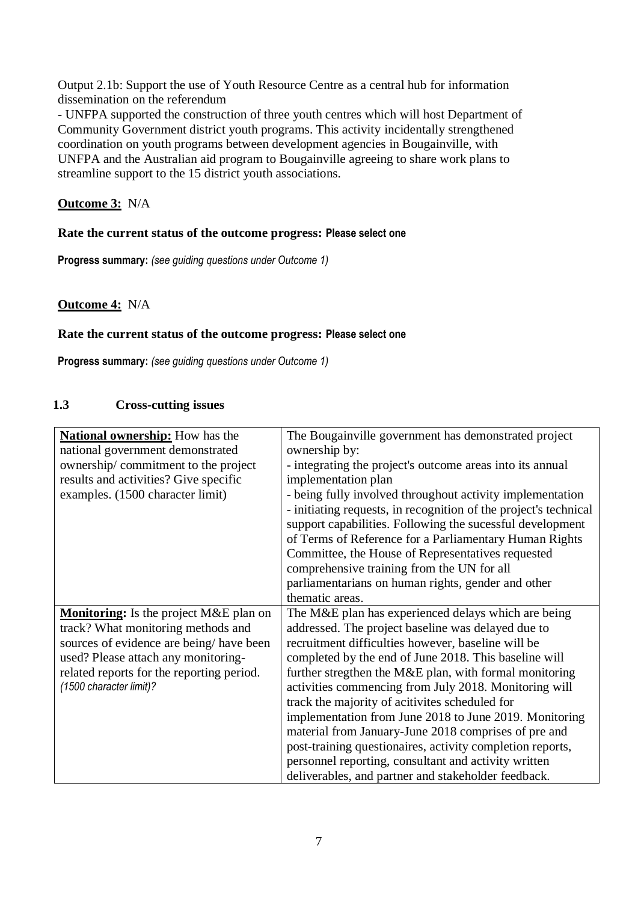Output 2.1b: Support the use of Youth Resource Centre as a central hub for information dissemination on the referendum

- UNFPA supported the construction of three youth centres which will host Department of Community Government district youth programs. This activity incidentally strengthened coordination on youth programs between development agencies in Bougainville, with UNFPA and the Australian aid program to Bougainville agreeing to share work plans to streamline support to the 15 district youth associations.

## **Outcome 3:** N/A

### **Rate the current status of the outcome progress: Please select one**

**Progress summary:** *(see guiding questions under Outcome 1)* 

**Outcome 4:** N/A

#### **Rate the current status of the outcome progress: Please select one**

**Progress summary:** *(see guiding questions under Outcome 1)* 

## **1.3 Cross-cutting issues**

| <b>National ownership:</b> How has the        | The Bougainville government has demonstrated project             |
|-----------------------------------------------|------------------------------------------------------------------|
| national government demonstrated              | ownership by:                                                    |
| ownership/commitment to the project           | - integrating the project's outcome areas into its annual        |
| results and activities? Give specific         | implementation plan                                              |
| examples. (1500 character limit)              | - being fully involved throughout activity implementation        |
|                                               | - initiating requests, in recognition of the project's technical |
|                                               | support capabilities. Following the sucessful development        |
|                                               | of Terms of Reference for a Parliamentary Human Rights           |
|                                               | Committee, the House of Representatives requested                |
|                                               | comprehensive training from the UN for all                       |
|                                               | parliamentarians on human rights, gender and other               |
|                                               | thematic areas.                                                  |
| <b>Monitoring:</b> Is the project M&E plan on | The M&E plan has experienced delays which are being              |
| track? What monitoring methods and            | addressed. The project baseline was delayed due to               |
| sources of evidence are being/have been       | recruitment difficulties however, baseline will be               |
| used? Please attach any monitoring-           | completed by the end of June 2018. This baseline will            |
| related reports for the reporting period.     | further stregthen the M&E plan, with formal monitoring           |
| (1500 character limit)?                       | activities commencing from July 2018. Monitoring will            |
|                                               | track the majority of acitivites scheduled for                   |
|                                               | implementation from June 2018 to June 2019. Monitoring           |
|                                               | material from January-June 2018 comprises of pre and             |
|                                               | post-training questionaires, activity completion reports,        |
|                                               | personnel reporting, consultant and activity written             |
|                                               | deliverables, and partner and stakeholder feedback.              |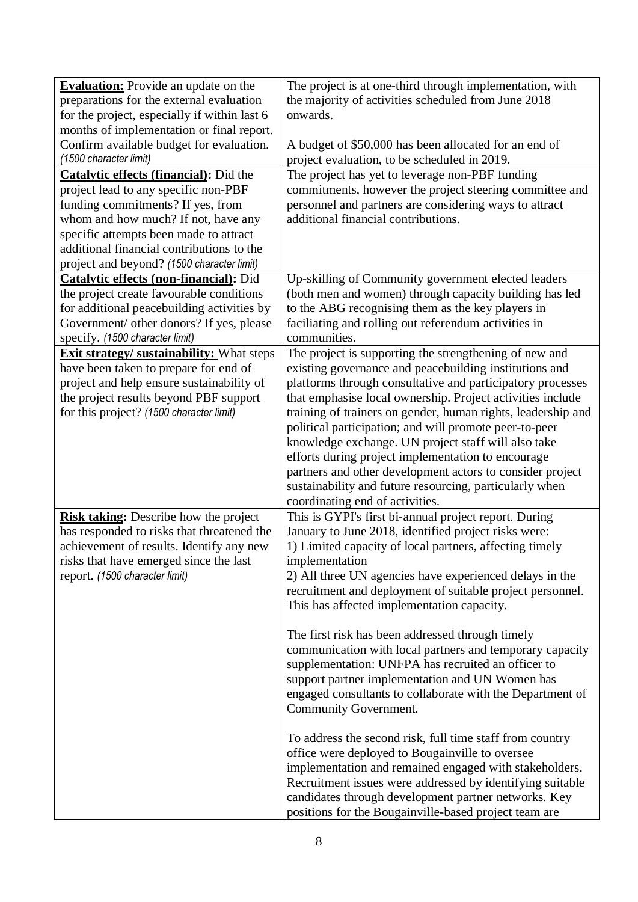| <b>Evaluation:</b> Provide an update on the     | The project is at one-third through implementation, with     |
|-------------------------------------------------|--------------------------------------------------------------|
| preparations for the external evaluation        | the majority of activities scheduled from June 2018          |
| for the project, especially if within last 6    | onwards.                                                     |
| months of implementation or final report.       |                                                              |
| Confirm available budget for evaluation.        | A budget of \$50,000 has been allocated for an end of        |
| (1500 character limit)                          | project evaluation, to be scheduled in 2019.                 |
| <b>Catalytic effects (financial):</b> Did the   | The project has yet to leverage non-PBF funding              |
| project lead to any specific non-PBF            | commitments, however the project steering committee and      |
| funding commitments? If yes, from               | personnel and partners are considering ways to attract       |
| whom and how much? If not, have any             | additional financial contributions.                          |
| specific attempts been made to attract          |                                                              |
| additional financial contributions to the       |                                                              |
| project and beyond? (1500 character limit)      |                                                              |
| <b>Catalytic effects (non-financial):</b> Did   | Up-skilling of Community government elected leaders          |
| the project create favourable conditions        | (both men and women) through capacity building has led       |
| for additional peacebuilding activities by      | to the ABG recognising them as the key players in            |
| Government/ other donors? If yes, please        | faciliating and rolling out referendum activities in         |
| specify. (1500 character limit)                 | communities.                                                 |
| <b>Exit strategy/sustainability:</b> What steps | The project is supporting the strengthening of new and       |
| have been taken to prepare for end of           | existing governance and peacebuilding institutions and       |
| project and help ensure sustainability of       | platforms through consultative and participatory processes   |
| the project results beyond PBF support          | that emphasise local ownership. Project activities include   |
| for this project? (1500 character limit)        | training of trainers on gender, human rights, leadership and |
|                                                 | political participation; and will promote peer-to-peer       |
|                                                 | knowledge exchange. UN project staff will also take          |
|                                                 | efforts during project implementation to encourage           |
|                                                 | partners and other development actors to consider project    |
|                                                 | sustainability and future resourcing, particularly when      |
|                                                 | coordinating end of activities.                              |
| <b>Risk taking:</b> Describe how the project    | This is GYPI's first bi-annual project report. During        |
| has responded to risks that threatened the      | January to June 2018, identified project risks were:         |
| achievement of results. Identify any new        | 1) Limited capacity of local partners, affecting timely      |
| risks that have emerged since the last          | implementation                                               |
| report. (1500 character limit)                  | 2) All three UN agencies have experienced delays in the      |
|                                                 | recruitment and deployment of suitable project personnel.    |
|                                                 | This has affected implementation capacity.                   |
|                                                 | The first risk has been addressed through timely             |
|                                                 | communication with local partners and temporary capacity     |
|                                                 | supplementation: UNFPA has recruited an officer to           |
|                                                 | support partner implementation and UN Women has              |
|                                                 | engaged consultants to collaborate with the Department of    |
|                                                 | Community Government.                                        |
|                                                 |                                                              |
|                                                 | To address the second risk, full time staff from country     |
|                                                 | office were deployed to Bougainville to oversee              |
|                                                 | implementation and remained engaged with stakeholders.       |
|                                                 | Recruitment issues were addressed by identifying suitable    |
|                                                 | candidates through development partner networks. Key         |
|                                                 | positions for the Bougainville-based project team are        |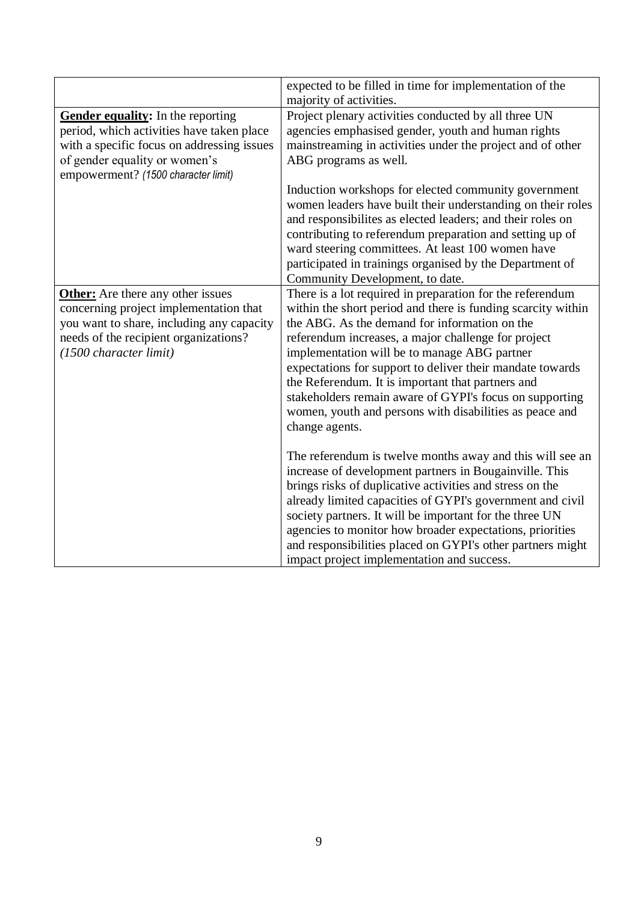| expected to be filled in time for implementation of the<br>majority of activities.                                                                                                                                                                                                                                                                                                                                                                                              |
|---------------------------------------------------------------------------------------------------------------------------------------------------------------------------------------------------------------------------------------------------------------------------------------------------------------------------------------------------------------------------------------------------------------------------------------------------------------------------------|
|                                                                                                                                                                                                                                                                                                                                                                                                                                                                                 |
| Project plenary activities conducted by all three UN                                                                                                                                                                                                                                                                                                                                                                                                                            |
| agencies emphasised gender, youth and human rights                                                                                                                                                                                                                                                                                                                                                                                                                              |
| mainstreaming in activities under the project and of other                                                                                                                                                                                                                                                                                                                                                                                                                      |
| ABG programs as well.                                                                                                                                                                                                                                                                                                                                                                                                                                                           |
| Induction workshops for elected community government<br>women leaders have built their understanding on their roles<br>and responsibilities as elected leaders; and their roles on<br>contributing to referendum preparation and setting up of<br>ward steering committees. At least 100 women have<br>participated in trainings organised by the Department of<br>Community Development, to date.                                                                              |
| There is a lot required in preparation for the referendum                                                                                                                                                                                                                                                                                                                                                                                                                       |
| within the short period and there is funding scarcity within                                                                                                                                                                                                                                                                                                                                                                                                                    |
| the ABG. As the demand for information on the                                                                                                                                                                                                                                                                                                                                                                                                                                   |
|                                                                                                                                                                                                                                                                                                                                                                                                                                                                                 |
| referendum increases, a major challenge for project                                                                                                                                                                                                                                                                                                                                                                                                                             |
| implementation will be to manage ABG partner                                                                                                                                                                                                                                                                                                                                                                                                                                    |
| expectations for support to deliver their mandate towards                                                                                                                                                                                                                                                                                                                                                                                                                       |
| the Referendum. It is important that partners and                                                                                                                                                                                                                                                                                                                                                                                                                               |
| stakeholders remain aware of GYPI's focus on supporting                                                                                                                                                                                                                                                                                                                                                                                                                         |
| women, youth and persons with disabilities as peace and                                                                                                                                                                                                                                                                                                                                                                                                                         |
|                                                                                                                                                                                                                                                                                                                                                                                                                                                                                 |
| change agents.                                                                                                                                                                                                                                                                                                                                                                                                                                                                  |
| The referendum is twelve months away and this will see an<br>increase of development partners in Bougainville. This<br>brings risks of duplicative activities and stress on the<br>already limited capacities of GYPI's government and civil<br>society partners. It will be important for the three UN<br>agencies to monitor how broader expectations, priorities<br>and responsibilities placed on GYPI's other partners might<br>impact project implementation and success. |
|                                                                                                                                                                                                                                                                                                                                                                                                                                                                                 |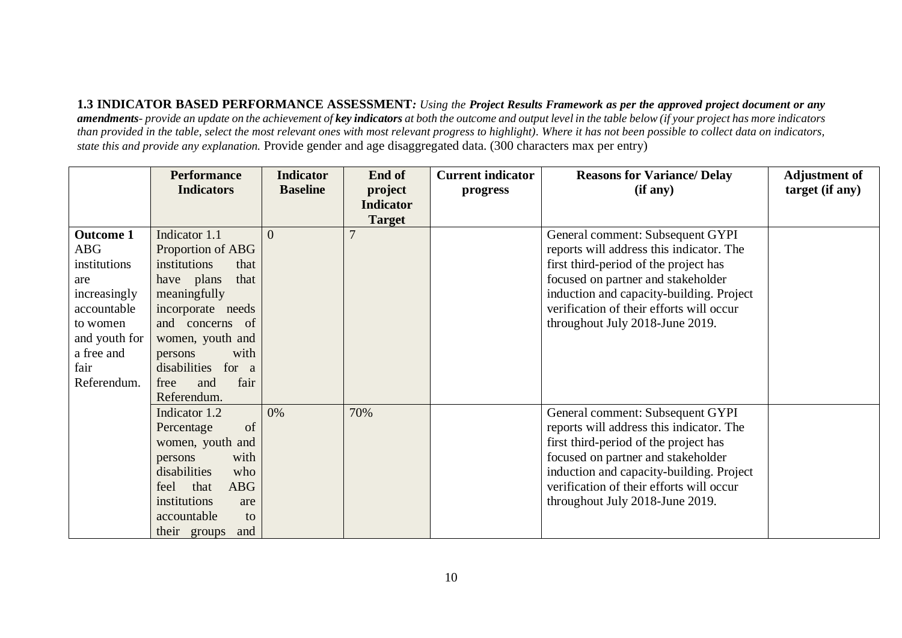**1.3 INDICATOR BASED PERFORMANCE ASSESSMENT***: Using the Project Results Framework as per the approved project document or any amendments- provide an update on the achievement of key indicators at both the outcome and output level in the table below (if your project has more indicators than provided in the table, select the most relevant ones with most relevant progress to highlight). Where it has not been possible to collect data on indicators, state this and provide any explanation.* Provide gender and age disaggregated data. (300 characters max per entry)

|                  | <b>Performance</b>         | <b>Indicator</b> | End of           | <b>Current indicator</b> | <b>Reasons for Variance/ Delay</b>       | <b>Adjustment of</b> |
|------------------|----------------------------|------------------|------------------|--------------------------|------------------------------------------|----------------------|
|                  | <b>Indicators</b>          | <b>Baseline</b>  | project          | progress                 | (if any)                                 | target (if any)      |
|                  |                            |                  | <b>Indicator</b> |                          |                                          |                      |
|                  |                            |                  | <b>Target</b>    |                          |                                          |                      |
| <b>Outcome 1</b> | Indicator 1.1              | $\Omega$         | $\overline{7}$   |                          | General comment: Subsequent GYPI         |                      |
| $\rm{ABG}$       | Proportion of ABG          |                  |                  |                          | reports will address this indicator. The |                      |
| institutions     | institutions<br>that       |                  |                  |                          | first third-period of the project has    |                      |
| are              | have plans<br>that         |                  |                  |                          | focused on partner and stakeholder       |                      |
| increasingly     | meaningfully               |                  |                  |                          | induction and capacity-building. Project |                      |
| accountable      | incorporate needs          |                  |                  |                          | verification of their efforts will occur |                      |
| to women         | and concerns of            |                  |                  |                          | throughout July 2018-June 2019.          |                      |
| and youth for    | women, youth and           |                  |                  |                          |                                          |                      |
| a free and       | with<br>persons            |                  |                  |                          |                                          |                      |
| fair             | disabilities for a         |                  |                  |                          |                                          |                      |
| Referendum.      | and<br>fair<br>free        |                  |                  |                          |                                          |                      |
|                  | Referendum.                |                  |                  |                          |                                          |                      |
|                  | Indicator 1.2              | 0%               | 70%              |                          | General comment: Subsequent GYPI         |                      |
|                  | of<br>Percentage           |                  |                  |                          | reports will address this indicator. The |                      |
|                  | women, youth and           |                  |                  |                          | first third-period of the project has    |                      |
|                  | with<br>persons            |                  |                  |                          | focused on partner and stakeholder       |                      |
|                  | disabilities<br>who        |                  |                  |                          | induction and capacity-building. Project |                      |
|                  | <b>ABG</b><br>feel<br>that |                  |                  |                          | verification of their efforts will occur |                      |
|                  | institutions<br>are        |                  |                  |                          | throughout July 2018-June 2019.          |                      |
|                  | accountable<br>to          |                  |                  |                          |                                          |                      |
|                  | their groups<br>and        |                  |                  |                          |                                          |                      |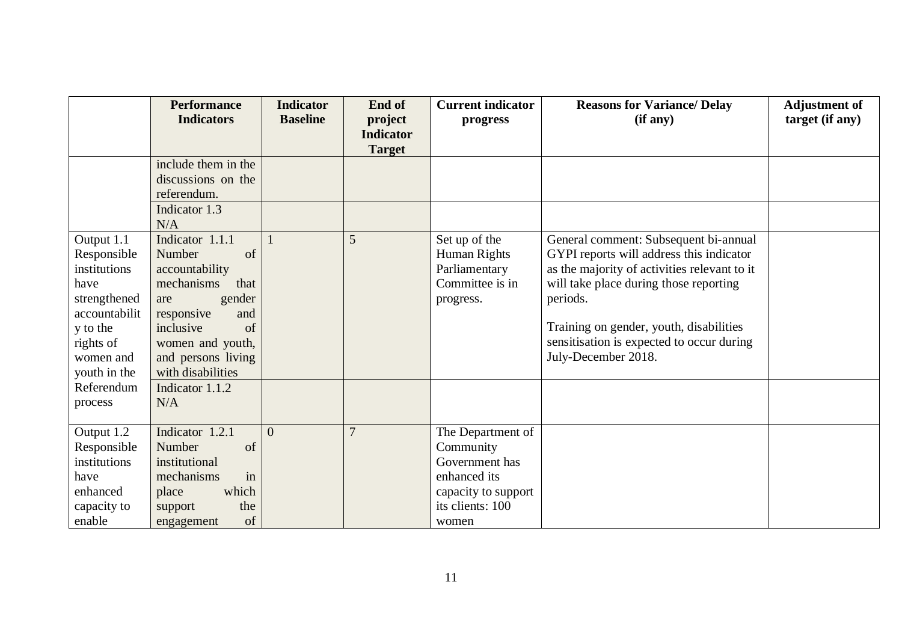|                                                                                                                                          | <b>Performance</b><br><b>Indicators</b>                                                                                                                                                         | <b>Indicator</b><br><b>Baseline</b> | End of<br>project<br><b>Indicator</b> | <b>Current indicator</b><br>progress                                                                                 | <b>Reasons for Variance/ Delay</b><br>(if any)                                                                                                                                                                                                                                                         | <b>Adjustment of</b><br>target (if any) |
|------------------------------------------------------------------------------------------------------------------------------------------|-------------------------------------------------------------------------------------------------------------------------------------------------------------------------------------------------|-------------------------------------|---------------------------------------|----------------------------------------------------------------------------------------------------------------------|--------------------------------------------------------------------------------------------------------------------------------------------------------------------------------------------------------------------------------------------------------------------------------------------------------|-----------------------------------------|
|                                                                                                                                          | include them in the<br>discussions on the<br>referendum.                                                                                                                                        |                                     | <b>Target</b>                         |                                                                                                                      |                                                                                                                                                                                                                                                                                                        |                                         |
|                                                                                                                                          | Indicator 1.3<br>N/A                                                                                                                                                                            |                                     |                                       |                                                                                                                      |                                                                                                                                                                                                                                                                                                        |                                         |
| Output 1.1<br>Responsible<br>institutions<br>have<br>strengthened<br>accountabilit<br>y to the<br>rights of<br>women and<br>youth in the | Indicator 1.1.1<br>Number<br>of<br>accountability<br>mechanisms<br>that<br>gender<br>are<br>responsive<br>and<br>inclusive<br>of<br>women and youth,<br>and persons living<br>with disabilities |                                     | 5                                     | Set up of the<br>Human Rights<br>Parliamentary<br>Committee is in<br>progress.                                       | General comment: Subsequent bi-annual<br>GYPI reports will address this indicator<br>as the majority of activities relevant to it<br>will take place during those reporting<br>periods.<br>Training on gender, youth, disabilities<br>sensitisation is expected to occur during<br>July-December 2018. |                                         |
| Referendum<br>process                                                                                                                    | Indicator 1.1.2<br>N/A                                                                                                                                                                          |                                     |                                       |                                                                                                                      |                                                                                                                                                                                                                                                                                                        |                                         |
| Output 1.2<br>Responsible<br>institutions<br>have<br>enhanced<br>capacity to<br>enable                                                   | Indicator 1.2.1<br>Number<br>of<br>institutional<br>mechanisms<br>in<br>which<br>place<br>the<br>support<br>of<br>engagement                                                                    | $\theta$                            | $\overline{7}$                        | The Department of<br>Community<br>Government has<br>enhanced its<br>capacity to support<br>its clients: 100<br>women |                                                                                                                                                                                                                                                                                                        |                                         |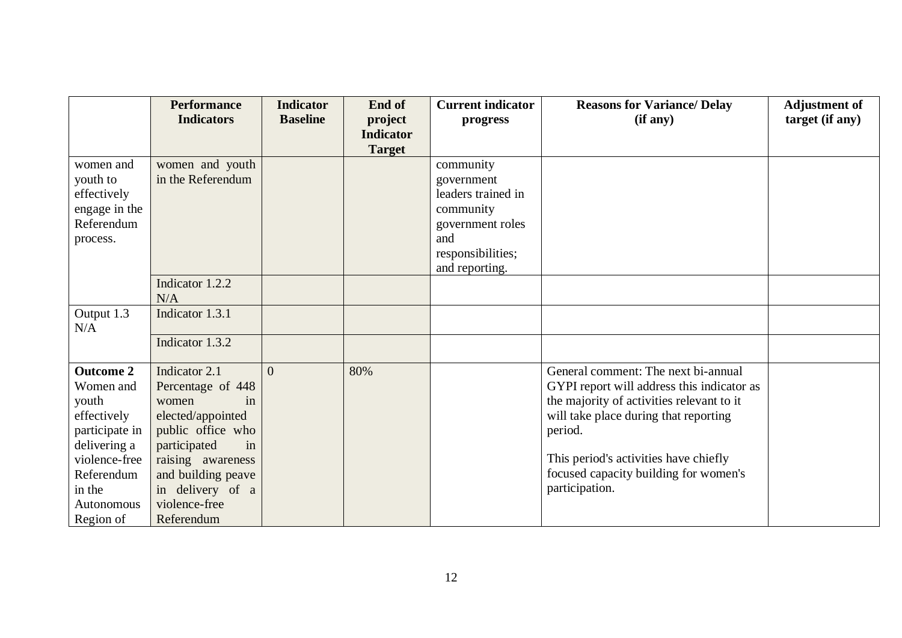|                                                                                                                                                             | <b>Performance</b><br><b>Indicators</b>                                                                                                                                                                         | <b>Indicator</b><br><b>Baseline</b> | End of<br>project<br><b>Indicator</b> | <b>Current indicator</b><br>progress                                                                                         | <b>Reasons for Variance/ Delay</b><br>(if any)                                                                                                                                                                                                                                         | <b>Adjustment of</b><br>target (if any) |
|-------------------------------------------------------------------------------------------------------------------------------------------------------------|-----------------------------------------------------------------------------------------------------------------------------------------------------------------------------------------------------------------|-------------------------------------|---------------------------------------|------------------------------------------------------------------------------------------------------------------------------|----------------------------------------------------------------------------------------------------------------------------------------------------------------------------------------------------------------------------------------------------------------------------------------|-----------------------------------------|
|                                                                                                                                                             |                                                                                                                                                                                                                 |                                     | <b>Target</b>                         |                                                                                                                              |                                                                                                                                                                                                                                                                                        |                                         |
| women and<br>youth to<br>effectively<br>engage in the<br>Referendum<br>process.                                                                             | women and youth<br>in the Referendum                                                                                                                                                                            |                                     |                                       | community<br>government<br>leaders trained in<br>community<br>government roles<br>and<br>responsibilities;<br>and reporting. |                                                                                                                                                                                                                                                                                        |                                         |
|                                                                                                                                                             | Indicator 1.2.2<br>N/A                                                                                                                                                                                          |                                     |                                       |                                                                                                                              |                                                                                                                                                                                                                                                                                        |                                         |
| Output 1.3<br>N/A                                                                                                                                           | Indicator 1.3.1                                                                                                                                                                                                 |                                     |                                       |                                                                                                                              |                                                                                                                                                                                                                                                                                        |                                         |
|                                                                                                                                                             | Indicator 1.3.2                                                                                                                                                                                                 |                                     |                                       |                                                                                                                              |                                                                                                                                                                                                                                                                                        |                                         |
| <b>Outcome 2</b><br>Women and<br>youth<br>effectively<br>participate in<br>delivering a<br>violence-free<br>Referendum<br>in the<br>Autonomous<br>Region of | Indicator 2.1<br>Percentage of 448<br>women<br>in<br>elected/appointed<br>public office who<br>participated<br>in<br>raising awareness<br>and building peave<br>in delivery of a<br>violence-free<br>Referendum | $\overline{0}$                      | 80%                                   |                                                                                                                              | General comment: The next bi-annual<br>GYPI report will address this indicator as<br>the majority of activities relevant to it<br>will take place during that reporting<br>period.<br>This period's activities have chiefly<br>focused capacity building for women's<br>participation. |                                         |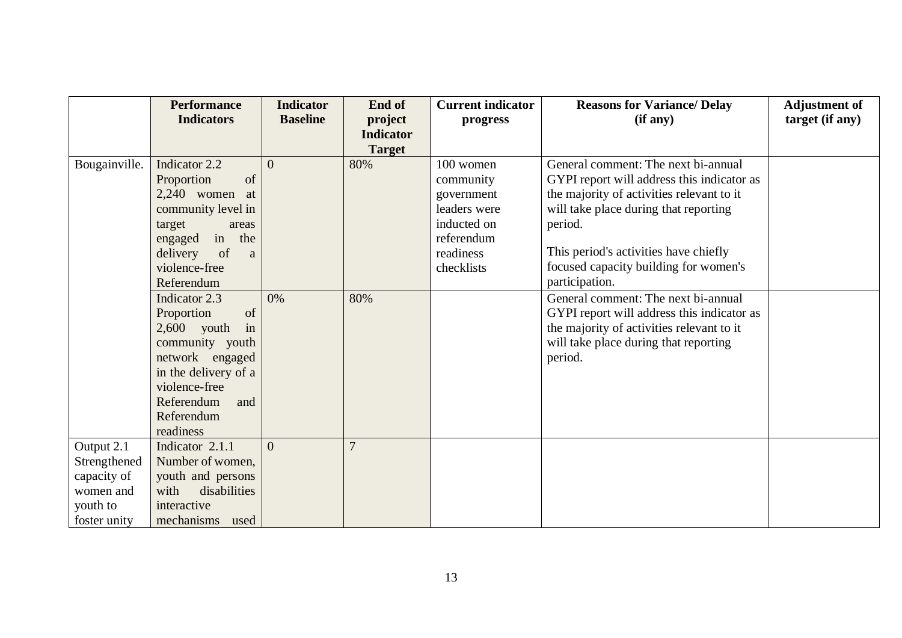|               | <b>Performance</b>   | <b>Indicator</b> | End of           | <b>Current indicator</b> | <b>Reasons for Variance/Delay</b>          | <b>Adjustment of</b> |
|---------------|----------------------|------------------|------------------|--------------------------|--------------------------------------------|----------------------|
|               | <b>Indicators</b>    | <b>Baseline</b>  | project          | progress                 | (if any)                                   | target (if any)      |
|               |                      |                  | <b>Indicator</b> |                          |                                            |                      |
|               |                      |                  | <b>Target</b>    |                          |                                            |                      |
| Bougainville. | Indicator 2.2        | $\theta$         | 80%              | 100 women                | General comment: The next bi-annual        |                      |
|               | of<br>Proportion     |                  |                  | community                | GYPI report will address this indicator as |                      |
|               | $2,240$ women at     |                  |                  | government               | the majority of activities relevant to it  |                      |
|               | community level in   |                  |                  | leaders were             | will take place during that reporting      |                      |
|               | target<br>areas      |                  |                  | inducted on              | period.                                    |                      |
|               | in the<br>engaged    |                  |                  | referendum               |                                            |                      |
|               | delivery<br>of<br>a  |                  |                  | readiness                | This period's activities have chiefly      |                      |
|               | violence-free        |                  |                  | checklists               | focused capacity building for women's      |                      |
|               | Referendum           |                  |                  |                          | participation.                             |                      |
|               | Indicator 2.3        | 0%               | 80%              |                          | General comment: The next bi-annual        |                      |
|               | Proportion<br>of     |                  |                  |                          | GYPI report will address this indicator as |                      |
|               | $2,600$ youth<br>in  |                  |                  |                          | the majority of activities relevant to it  |                      |
|               | community youth      |                  |                  |                          | will take place during that reporting      |                      |
|               | network engaged      |                  |                  |                          | period.                                    |                      |
|               | in the delivery of a |                  |                  |                          |                                            |                      |
|               | violence-free        |                  |                  |                          |                                            |                      |
|               | Referendum<br>and    |                  |                  |                          |                                            |                      |
|               | Referendum           |                  |                  |                          |                                            |                      |
|               | readiness            |                  |                  |                          |                                            |                      |
| Output 2.1    | Indicator 2.1.1      | $\Omega$         | $\overline{7}$   |                          |                                            |                      |
| Strengthened  | Number of women,     |                  |                  |                          |                                            |                      |
| capacity of   | youth and persons    |                  |                  |                          |                                            |                      |
| women and     | disabilities<br>with |                  |                  |                          |                                            |                      |
| youth to      | interactive          |                  |                  |                          |                                            |                      |
| foster unity  | mechanisms used      |                  |                  |                          |                                            |                      |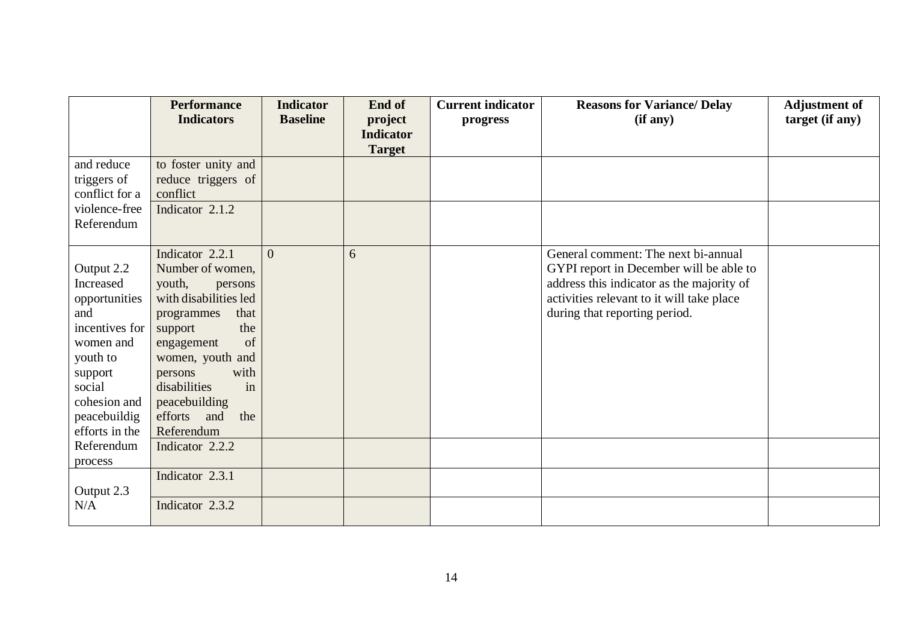|                                                                                                                                                                   | <b>Performance</b><br><b>Indicators</b>                                                                                                                                                                                                                         | <b>Indicator</b><br><b>Baseline</b> | End of<br>project                 | <b>Current indicator</b><br>progress | <b>Reasons for Variance/ Delay</b><br>(if any)                                                                                                                                                            | <b>Adjustment of</b><br>target (if any) |
|-------------------------------------------------------------------------------------------------------------------------------------------------------------------|-----------------------------------------------------------------------------------------------------------------------------------------------------------------------------------------------------------------------------------------------------------------|-------------------------------------|-----------------------------------|--------------------------------------|-----------------------------------------------------------------------------------------------------------------------------------------------------------------------------------------------------------|-----------------------------------------|
|                                                                                                                                                                   |                                                                                                                                                                                                                                                                 |                                     | <b>Indicator</b><br><b>Target</b> |                                      |                                                                                                                                                                                                           |                                         |
| and reduce<br>triggers of<br>conflict for a<br>violence-free<br>Referendum                                                                                        | to foster unity and<br>reduce triggers of<br>conflict<br>Indicator 2.1.2                                                                                                                                                                                        |                                     |                                   |                                      |                                                                                                                                                                                                           |                                         |
| Output 2.2<br>Increased<br>opportunities<br>and<br>incentives for<br>women and<br>youth to<br>support<br>social<br>cohesion and<br>peacebuildig<br>efforts in the | Indicator 2.2.1<br>Number of women,<br>youth,<br>persons<br>with disabilities led<br>that<br>programmes<br>the<br>support<br>of<br>engagement<br>women, youth and<br>with<br>persons<br>disabilities<br>in<br>peacebuilding<br>efforts and<br>the<br>Referendum | $\Omega$                            | 6                                 |                                      | General comment: The next bi-annual<br>GYPI report in December will be able to<br>address this indicator as the majority of<br>activities relevant to it will take place<br>during that reporting period. |                                         |
| Referendum<br>process                                                                                                                                             | Indicator 2.2.2                                                                                                                                                                                                                                                 |                                     |                                   |                                      |                                                                                                                                                                                                           |                                         |
| Output 2.3<br>N/A                                                                                                                                                 | Indicator 2.3.1<br>Indicator 2.3.2                                                                                                                                                                                                                              |                                     |                                   |                                      |                                                                                                                                                                                                           |                                         |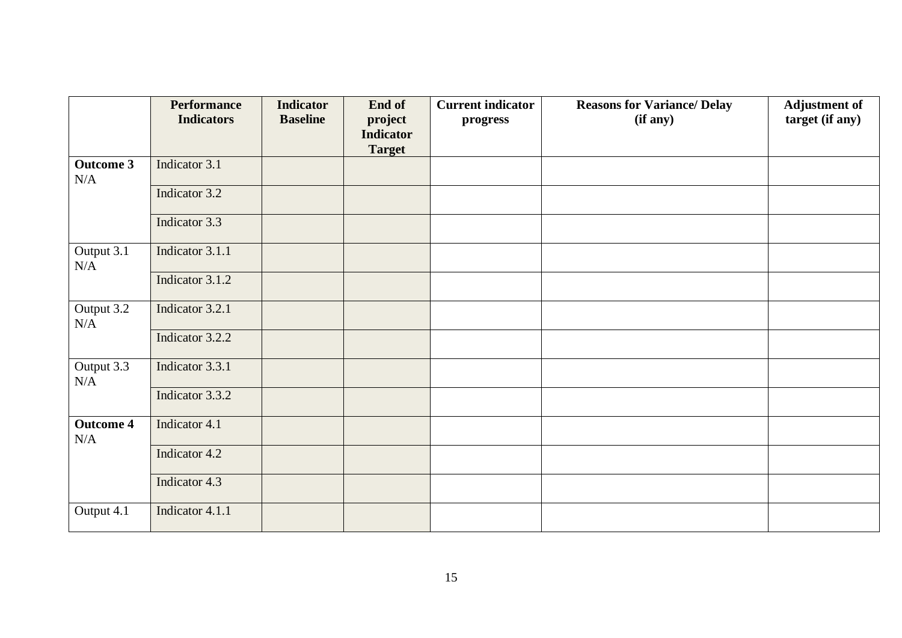|                                | <b>Performance</b><br><b>Indicators</b> | <b>Indicator</b><br><b>Baseline</b> | End of<br>project<br><b>Indicator</b><br><b>Target</b> | <b>Current indicator</b><br>progress | <b>Reasons for Variance/ Delay</b><br>(if any) | <b>Adjustment of</b><br>target (if any) |
|--------------------------------|-----------------------------------------|-------------------------------------|--------------------------------------------------------|--------------------------------------|------------------------------------------------|-----------------------------------------|
| <b>Outcome 3</b><br>N/A        | Indicator 3.1                           |                                     |                                                        |                                      |                                                |                                         |
|                                | Indicator 3.2                           |                                     |                                                        |                                      |                                                |                                         |
|                                | Indicator 3.3                           |                                     |                                                        |                                      |                                                |                                         |
| Output 3.1<br>N/A              | Indicator 3.1.1                         |                                     |                                                        |                                      |                                                |                                         |
|                                | Indicator 3.1.2                         |                                     |                                                        |                                      |                                                |                                         |
| Output 3.2<br>N/A              | Indicator 3.2.1                         |                                     |                                                        |                                      |                                                |                                         |
|                                | Indicator 3.2.2                         |                                     |                                                        |                                      |                                                |                                         |
| Output $3.\overline{3}$<br>N/A | Indicator 3.3.1                         |                                     |                                                        |                                      |                                                |                                         |
|                                | Indicator 3.3.2                         |                                     |                                                        |                                      |                                                |                                         |
| <b>Outcome 4</b><br>N/A        | Indicator 4.1                           |                                     |                                                        |                                      |                                                |                                         |
|                                | Indicator 4.2                           |                                     |                                                        |                                      |                                                |                                         |
|                                | Indicator 4.3                           |                                     |                                                        |                                      |                                                |                                         |
| Output 4.1                     | Indicator 4.1.1                         |                                     |                                                        |                                      |                                                |                                         |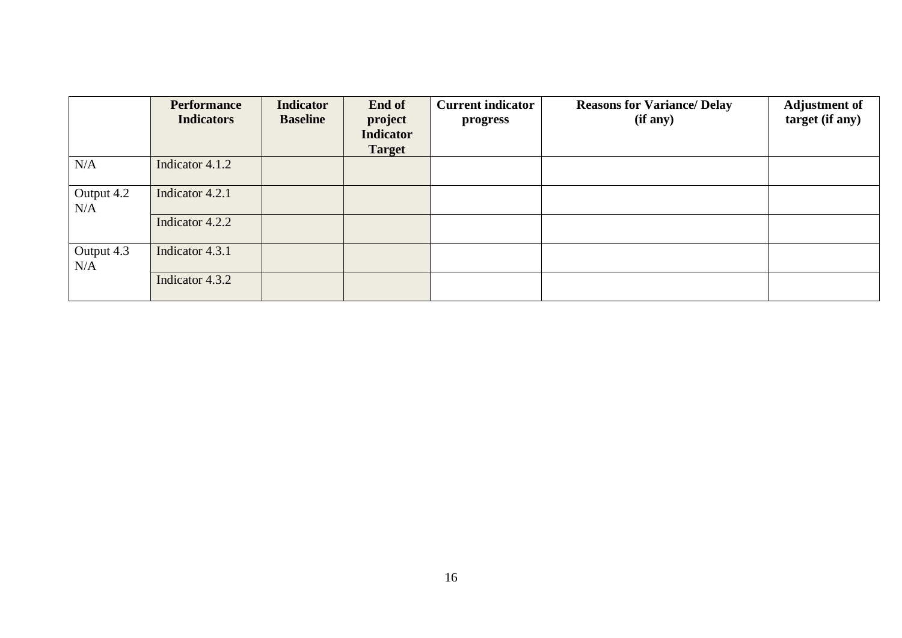|                   | <b>Performance</b><br><b>Indicators</b> | <b>Indicator</b><br><b>Baseline</b> | End of<br>project<br><b>Indicator</b><br><b>Target</b> | <b>Current indicator</b><br>progress | <b>Reasons for Variance/ Delay</b><br>(if any) | <b>Adjustment of</b><br>target (if any) |
|-------------------|-----------------------------------------|-------------------------------------|--------------------------------------------------------|--------------------------------------|------------------------------------------------|-----------------------------------------|
| N/A               | Indicator 4.1.2                         |                                     |                                                        |                                      |                                                |                                         |
| Output 4.2<br>N/A | Indicator 4.2.1                         |                                     |                                                        |                                      |                                                |                                         |
|                   | Indicator 4.2.2                         |                                     |                                                        |                                      |                                                |                                         |
| Output 4.3<br>N/A | Indicator 4.3.1                         |                                     |                                                        |                                      |                                                |                                         |
|                   | Indicator 4.3.2                         |                                     |                                                        |                                      |                                                |                                         |